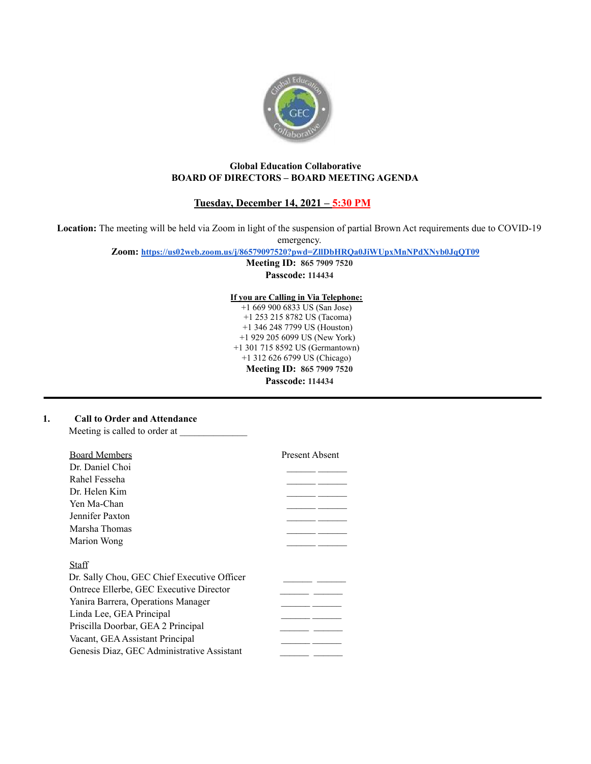

## **Global Education Collaborative BOARD OF DIRECTORS – BOARD MEETING AGENDA**

# **Tuesday, December 14, 2021 – 5:30 PM**

**Location:** The meeting will be held via Zoom in light of the suspension of partial Brown Act requirements due to COVID-19

emergency.

**Zoom: <https://us02web.zoom.us/j/86579097520?pwd=ZllDbHRQa0JiWUpxMnNPdXNyb0JqQT09>**

**Meeting ID: 865 7909 7520 Passcode: 114434**

**If you are Calling in Via Telephone:**

+1 669 900 6833 US (San Jose) +1 253 215 8782 US (Tacoma) +1 346 248 7799 US (Houston) +1 929 205 6099 US (New York) +1 301 715 8592 US (Germantown) +1 312 626 6799 US (Chicago) **Meeting ID: 865 7909 7520 Passcode: 114434**

### **1. Call to Order and Attendance**

Meeting is called to order at

| <b>Board Members</b>                        | <b>Present Absent</b> |
|---------------------------------------------|-----------------------|
| Dr. Daniel Choi                             |                       |
| Rahel Fesseha                               |                       |
| Dr. Helen Kim                               |                       |
| Yen Ma-Chan                                 |                       |
| Jennifer Paxton                             |                       |
| Marsha Thomas                               |                       |
| Marion Wong                                 |                       |
|                                             |                       |
| Staff                                       |                       |
| Dr. Sally Chou, GEC Chief Executive Officer |                       |
| Ontrece Ellerbe, GEC Executive Director     |                       |
| Yanira Barrera, Operations Manager          |                       |
| Linda Lee, GEA Principal                    |                       |
| Priscilla Doorbar, GEA 2 Principal          |                       |
| Vacant, GEA Assistant Principal             |                       |
| Genesis Diaz, GEC Administrative Assistant  |                       |
|                                             |                       |